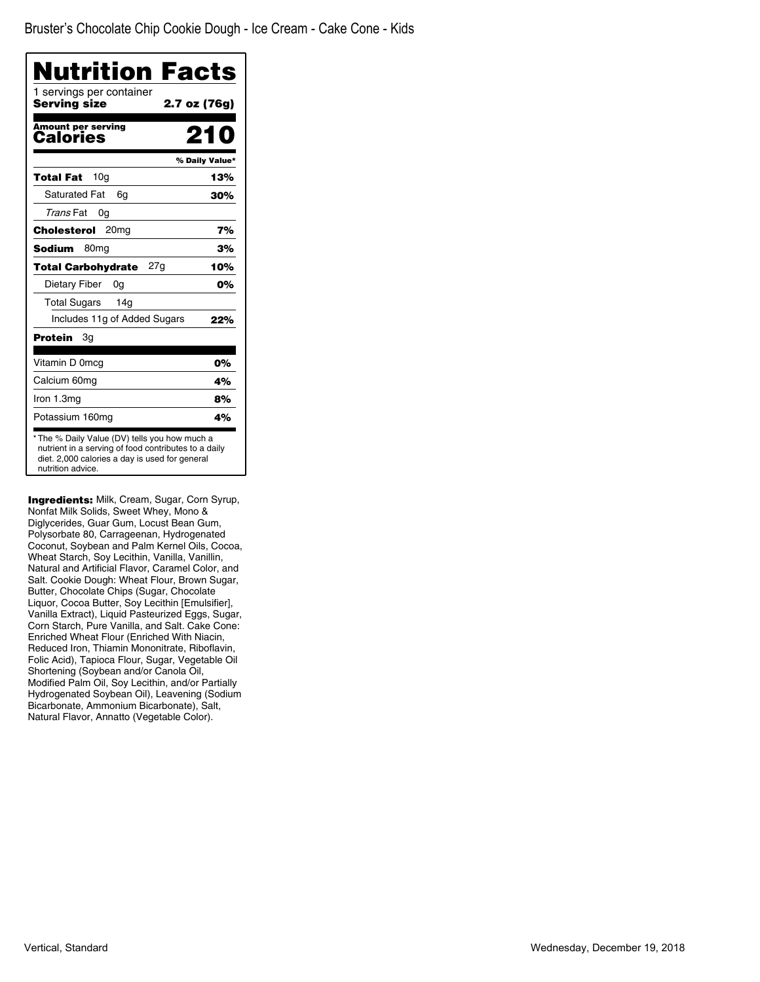| Nutrition Facts                                                                                                                                                              |                |
|------------------------------------------------------------------------------------------------------------------------------------------------------------------------------|----------------|
| 1 servings per container<br>Serving size                                                                                                                                     | 2.7 oz (76g)   |
| <b>Amount per serving</b><br>Calories                                                                                                                                        | 210            |
|                                                                                                                                                                              | % Daily Value* |
| 10 <sub>q</sub><br>Total Fat                                                                                                                                                 | 13%            |
| <b>Saturated Fat</b><br>6q                                                                                                                                                   | 30%            |
| Trans Fat<br>0g                                                                                                                                                              |                |
| Cholesterol<br>20 <sub>mg</sub>                                                                                                                                              | 7%             |
| <b>Sodium</b><br>80 <sub>mq</sub>                                                                                                                                            | 3%             |
| 27a<br><b>Total Carbohydrate</b>                                                                                                                                             | 10%            |
| Dietary Fiber<br>0g                                                                                                                                                          | 0%             |
| <b>Total Sugars</b><br>14g                                                                                                                                                   |                |
| Includes 11g of Added Sugars                                                                                                                                                 | 22%            |
| Protein<br>Зg                                                                                                                                                                |                |
| Vitamin D 0mcg                                                                                                                                                               | 0%             |
| Calcium 60mg                                                                                                                                                                 | 4%             |
| Iron 1.3mg                                                                                                                                                                   | 8%             |
| Potassium 160mg                                                                                                                                                              | 4%             |
| * The % Daily Value (DV) tells you how much a<br>nutrient in a serving of food contributes to a daily<br>diet. 2,000 calories a day is used for general<br>nutrition advice. |                |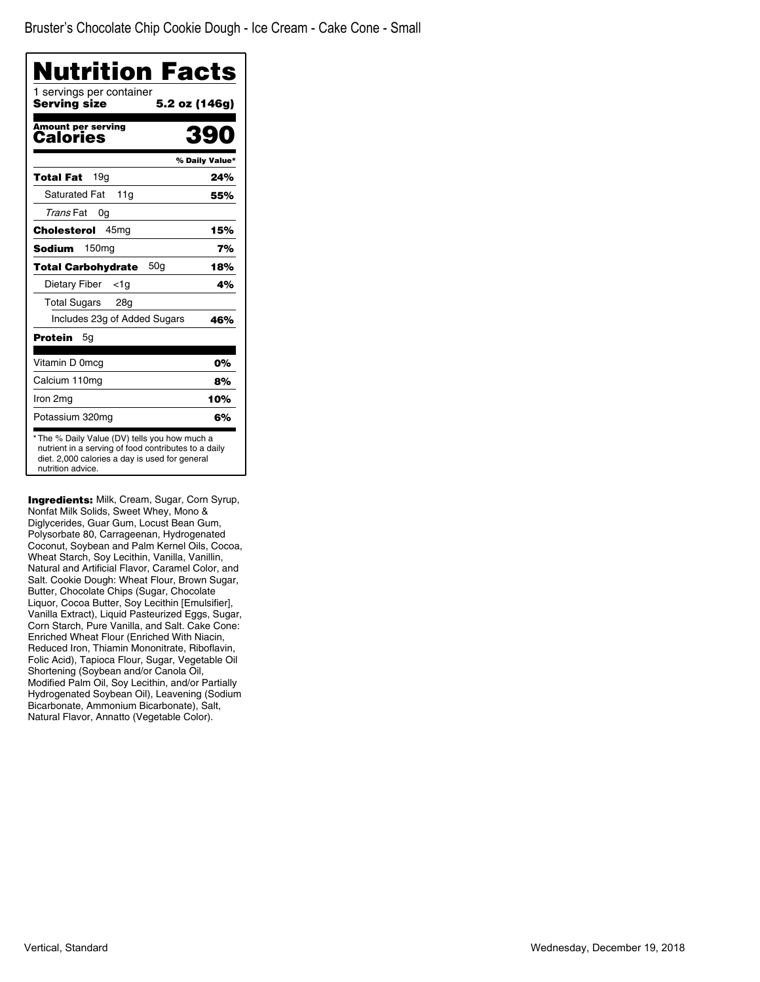| Nutrition Facts                          |                |
|------------------------------------------|----------------|
| 1 servings per container<br>Serving size | 5.2 oz (146g)  |
| <b>Amount per serving</b><br>Calories    | 39             |
|                                          | % Daily Value* |
| 19g<br>Total Fat                         | 24%            |
| <b>Saturated Fat</b><br>11a              | 55%            |
| Trans Fat<br>0g                          |                |
| 45mg<br>Cholesterol                      | 15%            |
| Sodium<br>150 <sub>mg</sub>              | 7%             |
| 50q<br><b>Total Carbohydrate</b>         | 18%            |
| Dietary Fiber<br><1a                     | 4%             |
| <b>Total Sugars</b><br>28g               |                |
| Includes 23g of Added Sugars             | 46%            |
| Protein<br>5g                            |                |
| Vitamin D 0mcg                           | 0%             |
| Calcium 110mg                            | 8%             |
| Iron 2mg                                 | 10%            |
| Potassium 320mg                          | 6%             |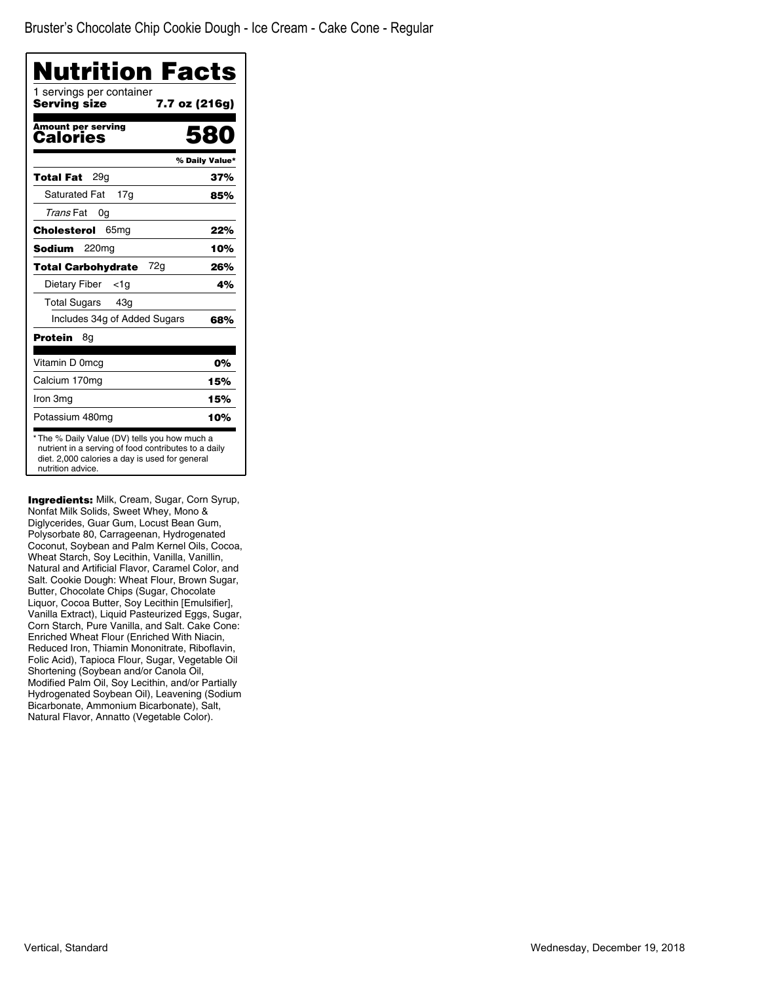| Nutrition Facts                                                                                                                                                              |                |
|------------------------------------------------------------------------------------------------------------------------------------------------------------------------------|----------------|
| 1 servings per container<br>Serving size<br>7.7 oz (216g)                                                                                                                    |                |
| <b>Amount per serving</b><br>Calories                                                                                                                                        | 580            |
|                                                                                                                                                                              | % Daily Value* |
| <b>Total Fat</b><br>29q                                                                                                                                                      | 37%            |
| <b>Saturated Fat</b><br>17q                                                                                                                                                  | 85%            |
| Trans Fat<br>0g                                                                                                                                                              |                |
| 65 <sub>mg</sub><br>Cholesterol                                                                                                                                              | 22%            |
| Sodium<br>220 <sub>mg</sub>                                                                                                                                                  | 10%            |
| <b>Total Carbohydrate</b><br>72a                                                                                                                                             | 26%            |
| Dietary Fiber<br><1a                                                                                                                                                         | 4%             |
| <b>Total Sugars</b><br>43g                                                                                                                                                   |                |
| Includes 34g of Added Sugars                                                                                                                                                 | 68%            |
| Protein<br>8g                                                                                                                                                                |                |
| Vitamin D 0mcg                                                                                                                                                               | 0%             |
| Calcium 170mg                                                                                                                                                                | 15%            |
| Iron 3mg                                                                                                                                                                     | 15%            |
| Potassium 480mg                                                                                                                                                              | 10%            |
| * The % Daily Value (DV) tells you how much a<br>nutrient in a serving of food contributes to a daily<br>diet. 2,000 calories a day is used for general<br>nutrition advice. |                |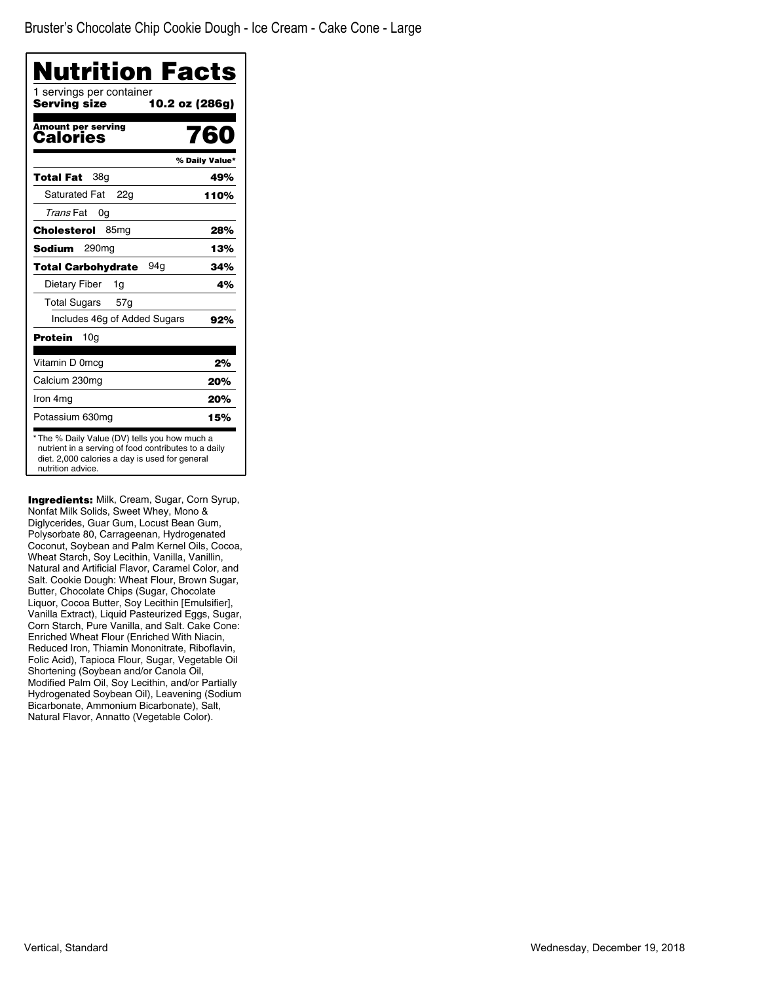|                                          | Nutrition Facts |
|------------------------------------------|-----------------|
| 1 servings per container<br>Serving size | 10.2 oz (286g)  |
| Amount per serving<br>Calories           | 760             |
|                                          | % Daily Value*  |
| <b>Total Fat</b><br>38q                  | 49%             |
| <b>Saturated Fat</b><br>22g              | 110%            |
| Trans Fat<br>0g                          |                 |
| Cholesterol<br>85 <sub>mg</sub>          | 28%             |
| <b>Sodium</b><br>290mg                   | 13%             |
| 94a<br>Total Carbohydrate                | 34%             |
| Dietary Fiber<br>1g                      | 4%              |
| <b>Total Sugars</b><br>57 <sub>q</sub>   |                 |
| Includes 46g of Added Sugars             | 92%             |
| <b>Protein</b><br>10g                    |                 |
| Vitamin D 0mcg                           | 2%              |
| Calcium 230mg                            | 20%             |
| Iron 4mg                                 | 20%             |
| Potassium 630mg                          | 15%             |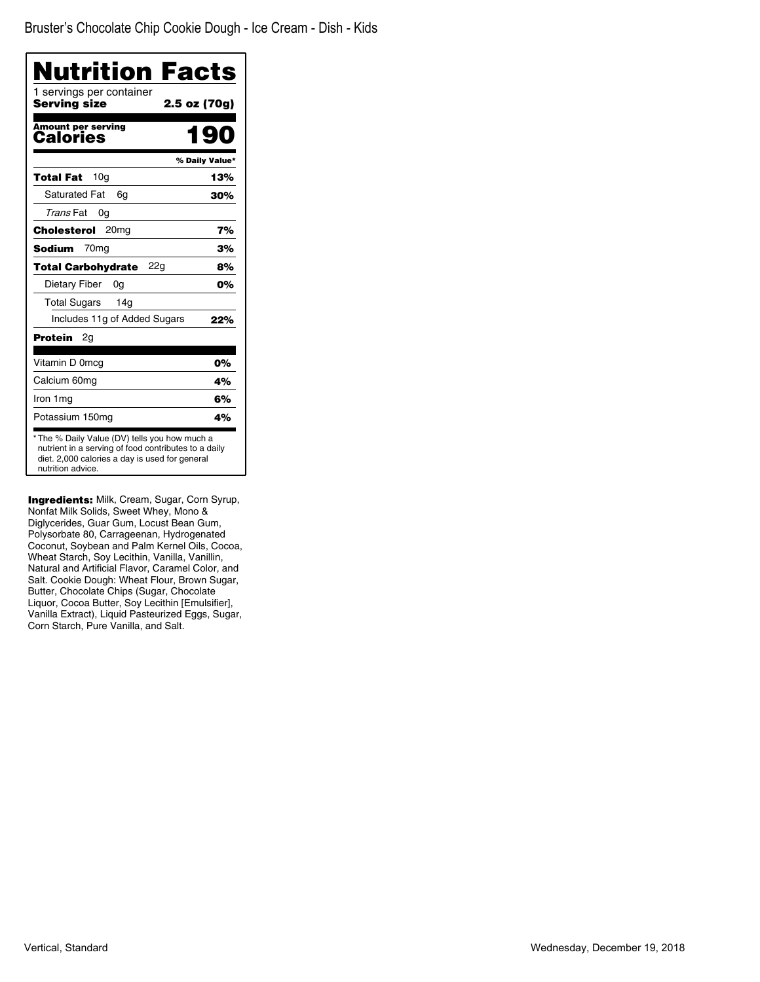| Nutrition Facts                                                                                                                                                              |                |
|------------------------------------------------------------------------------------------------------------------------------------------------------------------------------|----------------|
| 1 servings per container<br>Serving size                                                                                                                                     | 2.5 oz (70g)   |
| <b>Amount per serving</b><br>Calories                                                                                                                                        | 190            |
|                                                                                                                                                                              | % Daily Value* |
| 10 <sub>q</sub><br>Total Fat                                                                                                                                                 | 13%            |
| <b>Saturated Fat</b><br>6q                                                                                                                                                   | 30%            |
| Trans Fat<br>0g                                                                                                                                                              |                |
| <b>Cholesterol</b><br>20 <sub>mg</sub>                                                                                                                                       | 7%             |
| 70 <sub>mq</sub><br>Sodium                                                                                                                                                   | 3%             |
| <b>Total Carbohydrate</b><br>22g                                                                                                                                             | 8%             |
| Dietary Fiber<br>0g                                                                                                                                                          | 0%             |
| <b>Total Sugars</b><br>14 <sub>g</sub>                                                                                                                                       |                |
| Includes 11g of Added Sugars                                                                                                                                                 | 22%            |
| Protein<br>2g                                                                                                                                                                |                |
| Vitamin D 0mcg                                                                                                                                                               | 0%             |
| Calcium 60mg                                                                                                                                                                 | 4%             |
| Iron 1mg                                                                                                                                                                     | 6%             |
| Potassium 150mg                                                                                                                                                              | 4%             |
| * The % Daily Value (DV) tells you how much a<br>nutrient in a serving of food contributes to a daily<br>diet. 2,000 calories a day is used for general<br>nutrition advice. |                |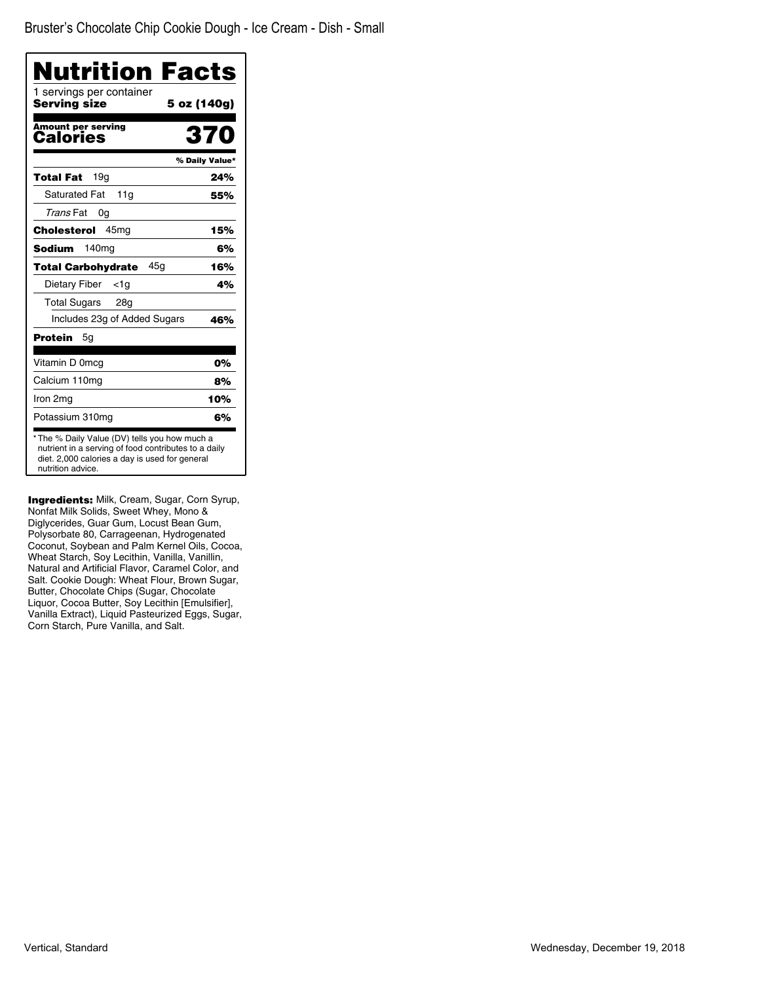| Nutrition Facts<br>1 servings per container |                |
|---------------------------------------------|----------------|
| Serving size                                | 5 oz (140g)    |
| <b>Amount per serving</b><br>Calories       | 370            |
|                                             | % Daily Value* |
| 19 <sub>q</sub><br>Total Fat                | 24%            |
| <b>Saturated Fat</b><br>11g                 | 55%            |
| Trans Fat<br>0a                             |                |
| 45 <sub>mg</sub><br>Cholesterol             | 15%            |
| 140 <sub>mg</sub><br>Sodium                 | 6%             |
| 45g<br><b>Total Carbohydrate</b>            | 16%            |
| Dietary Fiber<br><1a                        | 4%             |
| <b>Total Sugars</b><br>28g                  |                |
| Includes 23g of Added Sugars                | 46%            |
| Protein<br>5g                               |                |
| Vitamin D 0mcg                              | 0%             |
| Calcium 110mg                               | 8%             |
| Iron 2mg                                    | 10%            |
| Potassium 310mg                             | 6%             |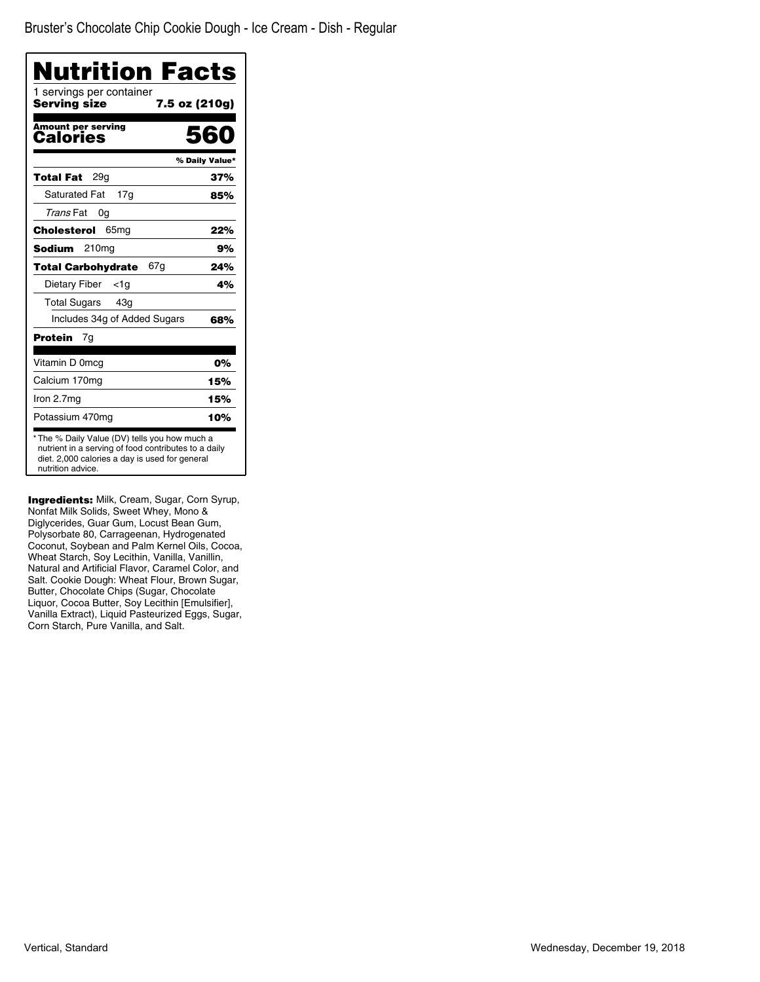| Nutrition Facts<br>1 servings per container                                                                                                                                  |                |
|------------------------------------------------------------------------------------------------------------------------------------------------------------------------------|----------------|
| Serving size<br>7.5 oz (210g)                                                                                                                                                |                |
| Amount per serving<br>Calories                                                                                                                                               | 560            |
|                                                                                                                                                                              | % Daily Value* |
| 29q<br>Total Fat                                                                                                                                                             | 37%            |
| <b>Saturated Fat</b><br>17g                                                                                                                                                  | 85%            |
| Trans Fat<br>0g                                                                                                                                                              |                |
| 65 <sub>mg</sub><br>Cholesterol                                                                                                                                              | 22%            |
| Sodium<br>210 <sub>mg</sub>                                                                                                                                                  | 9%             |
| <b>Total Carbohydrate</b><br>67g                                                                                                                                             | 24%            |
| Dietary Fiber<br><1a                                                                                                                                                         | 4%             |
| <b>Total Sugars</b><br>43g                                                                                                                                                   |                |
| Includes 34g of Added Sugars                                                                                                                                                 | 68%            |
| <b>Protein</b><br>7g                                                                                                                                                         |                |
| Vitamin D 0mcg                                                                                                                                                               | 0%             |
| Calcium 170mg                                                                                                                                                                | 15%            |
| Iron 2.7mg                                                                                                                                                                   | 15%            |
| Potassium 470mg                                                                                                                                                              | 10%            |
| * The % Daily Value (DV) tells you how much a<br>nutrient in a serving of food contributes to a daily<br>diet. 2,000 calories a day is used for general<br>nutrition advice. |                |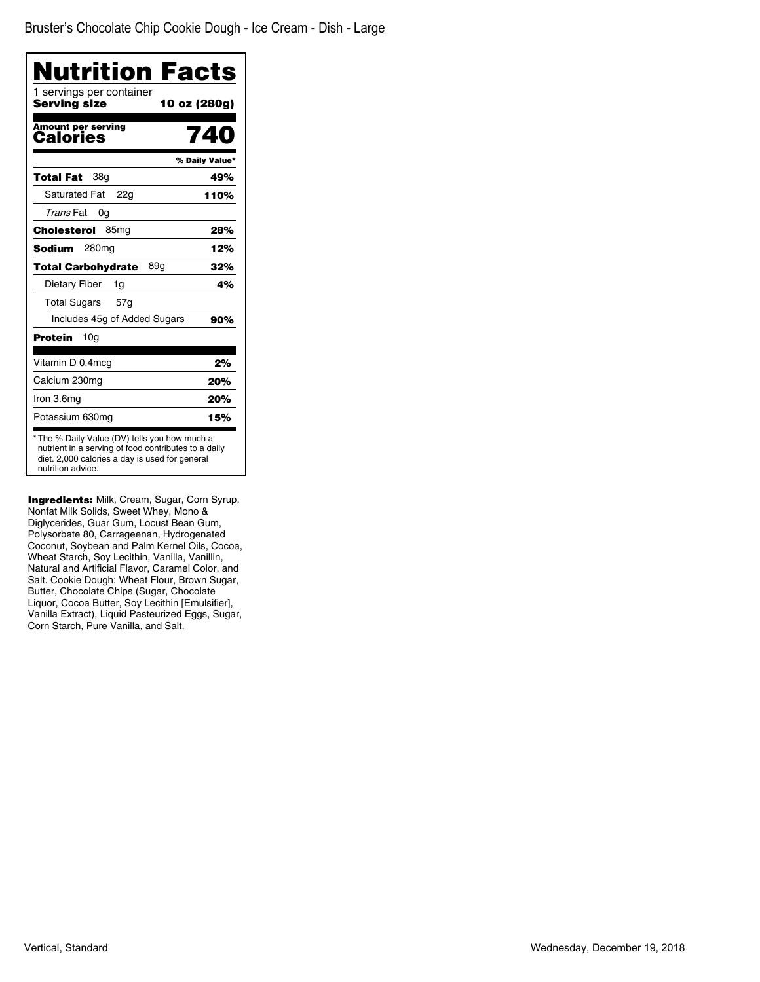| 10 oz (280g)<br>740<br>% Daily Value*<br>49%<br>110%<br>28%<br>12%                                                                                      |
|---------------------------------------------------------------------------------------------------------------------------------------------------------|
|                                                                                                                                                         |
|                                                                                                                                                         |
|                                                                                                                                                         |
|                                                                                                                                                         |
|                                                                                                                                                         |
|                                                                                                                                                         |
|                                                                                                                                                         |
|                                                                                                                                                         |
| 32%                                                                                                                                                     |
| 4%                                                                                                                                                      |
|                                                                                                                                                         |
| 90%                                                                                                                                                     |
|                                                                                                                                                         |
| 2%                                                                                                                                                      |
| 20%                                                                                                                                                     |
| 20%                                                                                                                                                     |
| 15%                                                                                                                                                     |
| * The % Daily Value (DV) tells you how much a<br>nutrient in a serving of food contributes to a daily<br>diet. 2,000 calories a day is used for general |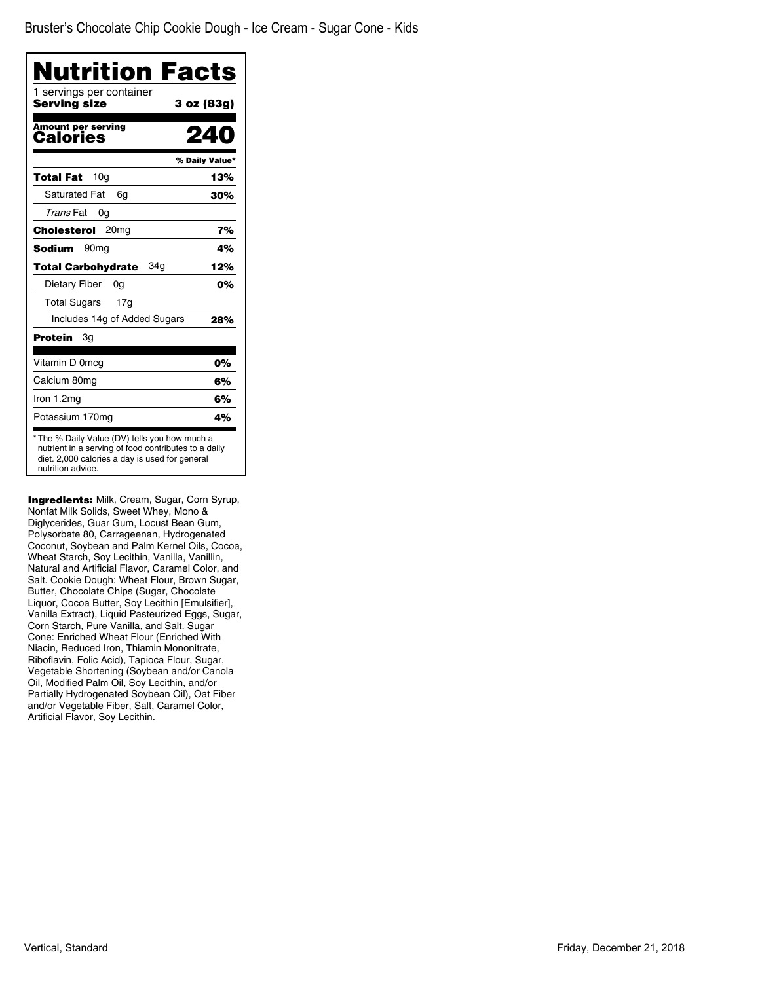| Nutrition Facts                                                                                                                                                             |                |
|-----------------------------------------------------------------------------------------------------------------------------------------------------------------------------|----------------|
| 1 servings per container<br>Serving size                                                                                                                                    | 3 oz (83g)     |
| Amount per serving<br>Calories                                                                                                                                              | ΖЦ             |
|                                                                                                                                                                             | % Daily Value* |
| 10 <sub>q</sub><br><b>Total Fat</b>                                                                                                                                         | 13%            |
| Saturated Fat<br>6g                                                                                                                                                         | 30%            |
| Trans Fat<br>0g                                                                                                                                                             |                |
| 20 <sub>mg</sub><br>Cholesterol                                                                                                                                             | 7%             |
| <b>Sodium</b><br>90 <sub>mq</sub>                                                                                                                                           | 4%             |
| 34a<br><b>Total Carbohydrate</b>                                                                                                                                            | 12%            |
| Dietary Fiber<br>0g                                                                                                                                                         | 0%             |
| <b>Total Sugars</b><br>17a                                                                                                                                                  |                |
| Includes 14g of Added Sugars                                                                                                                                                | 28%            |
| Protein<br>Зg                                                                                                                                                               |                |
| Vitamin D 0mcg                                                                                                                                                              | 0%             |
| Calcium 80mg                                                                                                                                                                | 6%             |
| Iron 1.2mg                                                                                                                                                                  | 6%             |
| Potassium 170mg                                                                                                                                                             | 4%             |
| * The % Daily Value (DV) tells you how much a<br>nutrient in a serving of food contributes to a daily<br>diet. 2,000 calories a day is used for general<br>nutrition advice |                |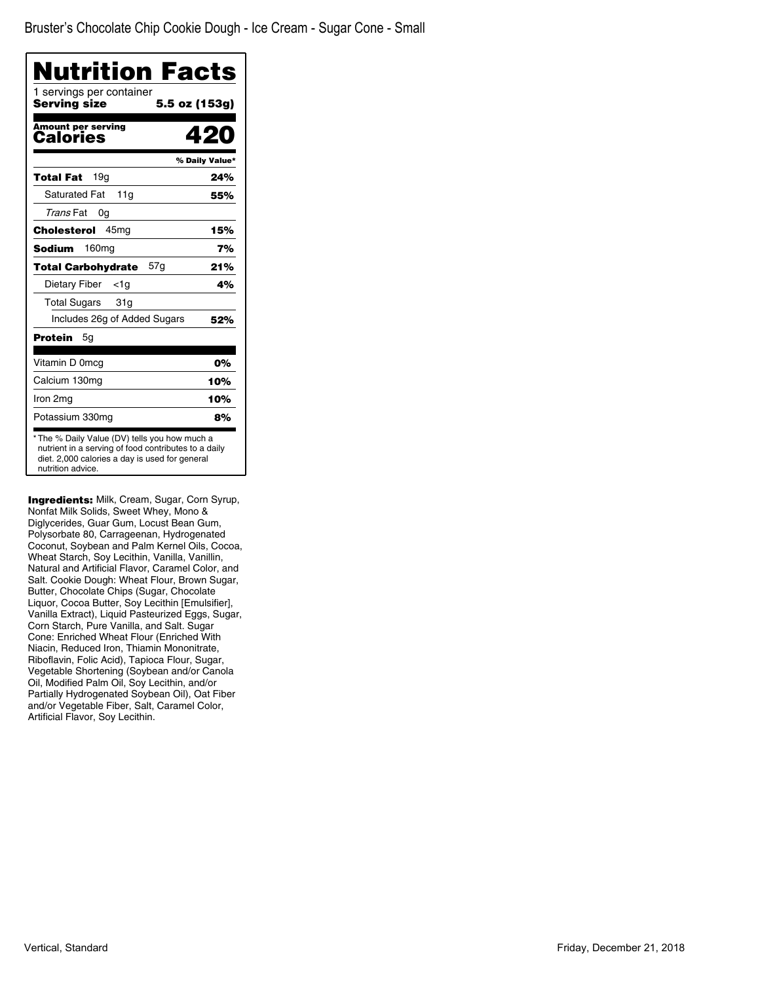| Nutrition Facts<br>1 servings per container<br>Serving size | 5.5 oz (153g)  |
|-------------------------------------------------------------|----------------|
| <b>Amount per serving</b><br>Calories                       | 42             |
|                                                             | % Daily Value* |
| 19q<br><b>Total Fat</b>                                     | 24%            |
| <b>Saturated Fat</b><br>11g                                 | 55%            |
| Trans Fat<br>0g                                             |                |
| 45 <sub>mq</sub><br>Cholesterol                             | 15%            |
| <b>Sodium</b><br>160 <sub>mg</sub>                          | 7%             |
| 57g<br><b>Total Carbohydrate</b>                            | 21%            |
| Dietary Fiber<br><1a                                        | 4%             |
| Total Sugars<br>31g                                         |                |
| Includes 26g of Added Sugars                                | 52%            |
| <b>Protein</b><br>5g                                        |                |
| Vitamin D 0mcg                                              | 0%             |
| Calcium 130mg                                               | 10%            |
| Iron 2mg                                                    | 10%            |
| Potassium 330mg                                             | 8%             |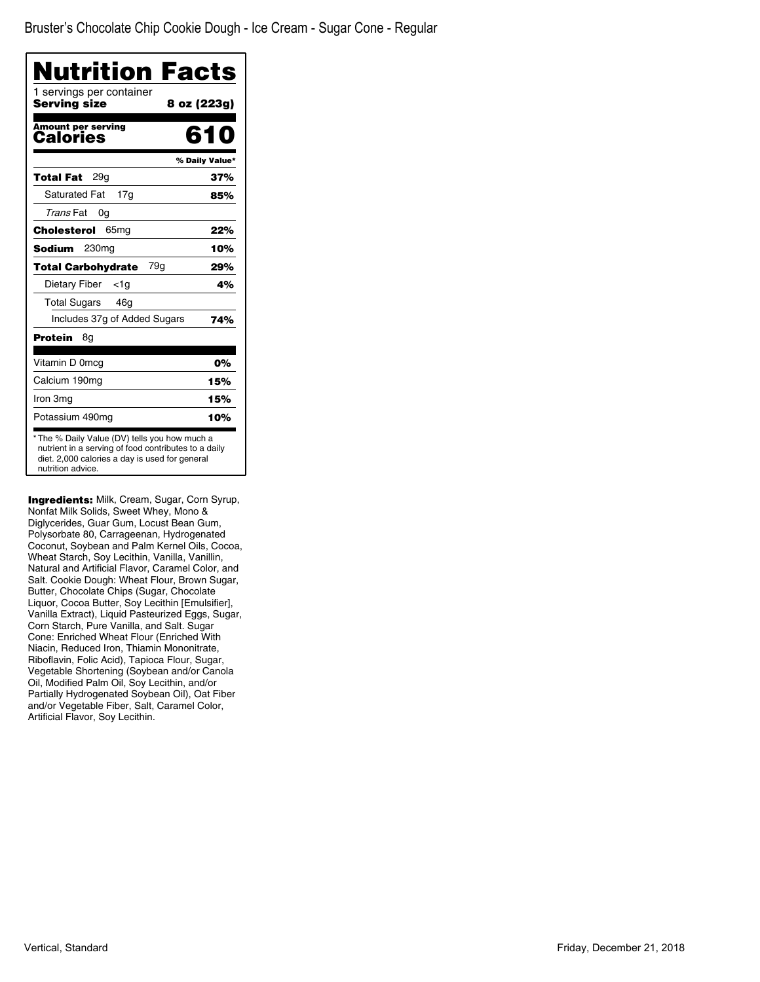| Nutrition Facts                                 |                |
|-------------------------------------------------|----------------|
| 1 servings per container<br><b>Serving size</b> | 8 oz (223g)    |
| Amount per serving<br>Calories                  | 610            |
|                                                 | % Daily Value* |
| 29a<br>Total Fat                                | 37%            |
| <b>Saturated Fat</b><br>17g                     | 85%            |
| Trans Fat<br>0g                                 |                |
| Cholesterol<br>65 <sub>mg</sub>                 | 22%            |
| Sodium<br>230mg                                 | 10%            |
| 79g<br><b>Total Carbohydrate</b>                | 29%            |
| Dietary Fiber<br><1a                            | 4%             |
| <b>Total Sugars</b><br>46a                      |                |
| Includes 37g of Added Sugars                    | 74%            |
| Protein<br>8g                                   |                |
| Vitamin D 0mcg                                  | 0%             |
| Calcium 190mg                                   | 15%            |
| Iron 3mg                                        | 15%            |
| Potassium 490mg                                 | 10%            |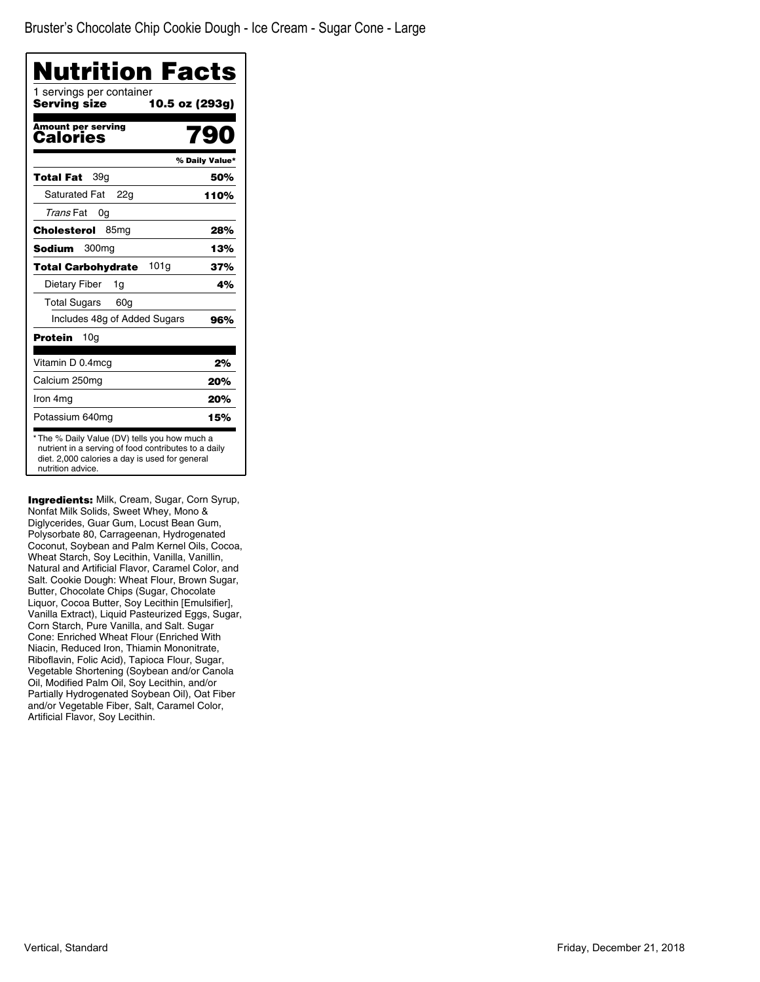| Nutrition Facts                               |                |
|-----------------------------------------------|----------------|
| 1 servings per container<br>Serving size      | 10.5 oz (293g) |
| <b>Amount per serving</b><br><b>Calories</b>  | 790            |
|                                               | % Daily Value* |
| Total Fat<br>39g                              | 50%            |
| <b>Saturated Fat</b><br>22a                   | 110%           |
| Trans Fat<br>0g                               |                |
| Cholesterol<br>85 <sub>mg</sub>               | 28%            |
| Sodium<br>300 <sub>mq</sub>                   | 13%            |
| 101 <sub>g</sub><br><b>Total Carbohydrate</b> | 37%            |
| Dietary Fiber<br>1g                           | 4%             |
| <b>Total Sugars</b><br>60 <sub>q</sub>        |                |
| Includes 48g of Added Sugars                  | 96%            |
| 10 <sub>q</sub><br>Protein                    |                |
| Vitamin D 0.4mcg                              | 2%             |
| Calcium 250mg                                 | 20%            |
| Iron 4mg                                      | 20%            |
| Potassium 640mg                               | 15%            |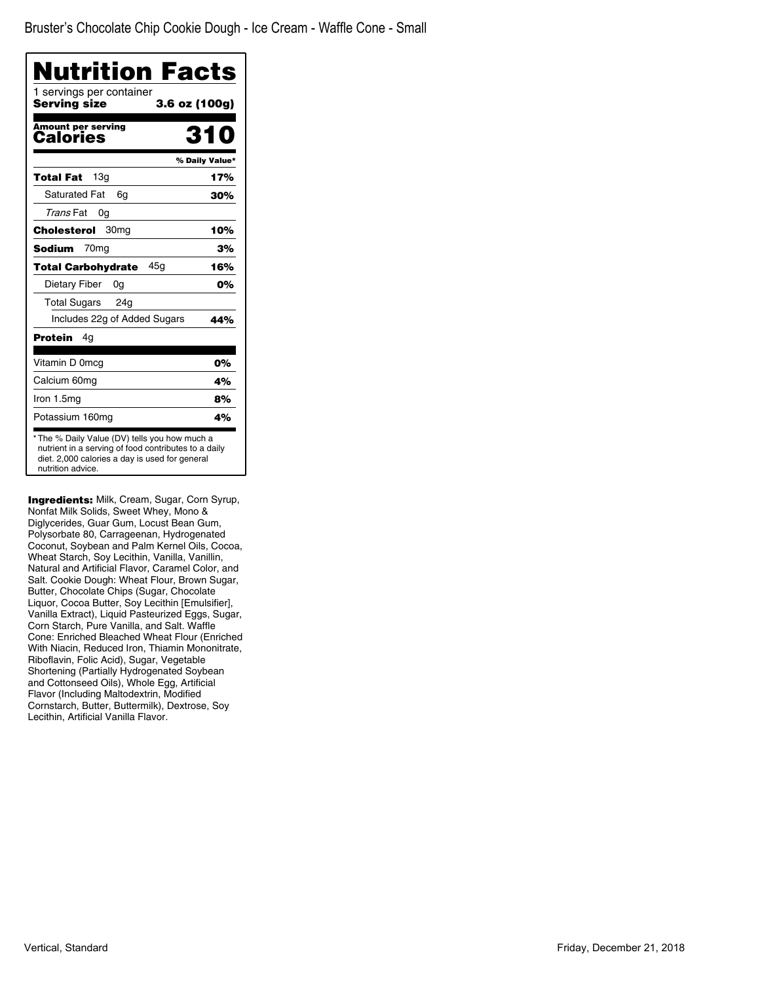| Nutrition Facts<br>1 servings per container |                |
|---------------------------------------------|----------------|
| Serving size<br>3.6 oz (100g)               |                |
| <b>Amount per serving</b><br>Calories       | 35             |
|                                             | % Daily Value* |
| 13a<br>Total Fat                            | 17%            |
| <b>Saturated Fat</b><br>6g                  | 30%            |
| Trans Fat<br>0g                             |                |
| Cholesterol<br>30 <sub>mg</sub>             | 10%            |
| Sodium<br>70 <sub>mq</sub>                  | 3%             |
| 45g<br><b>Total Carbohydrate</b>            | 16%            |
| Dietary Fiber<br>0g                         | 0%             |
| Total Sugars 24g                            |                |
| Includes 22g of Added Sugars                | 44%            |
| Protein<br>4g                               |                |
| Vitamin D 0mcg                              | 0%             |
| Calcium 60mg                                | 4%             |
| Iron $1.5mg$                                | 8%             |
| Potassium 160mg                             | 4%             |

Ingredients: Milk, Cream, Sugar, Corn Syrup, Nonfat Milk Solids, Sweet Whey, Mono & Diglycerides, Guar Gum, Locust Bean Gum, Polysorbate 80, Carrageenan, Hydrogenated Coconut, Soybean and Palm Kernel Oils, Cocoa, Wheat Starch, Soy Lecithin, Vanilla, Vanillin, Natural and Artificial Flavor, Caramel Color, and Salt. Cookie Dough: Wheat Flour, Brown Sugar, Butter, Chocolate Chips (Sugar, Chocolate Liquor, Cocoa Butter, Soy Lecithin [Emulsifier], Vanilla Extract), Liquid Pasteurized Eggs, Sugar, Corn Starch, Pure Vanilla, and Salt. Waffle Cone: Enriched Bleached Wheat Flour (Enriched With Niacin, Reduced Iron, Thiamin Mononitrate, Riboflavin, Folic Acid), Sugar, Vegetable Shortening (Partially Hydrogenated Soybean and Cottonseed Oils), Whole Egg, Artificial Flavor (Including Maltodextrin, Modified Cornstarch, Butter, Buttermilk), Dextrose, Soy Lecithin, Artificial Vanilla Flavor.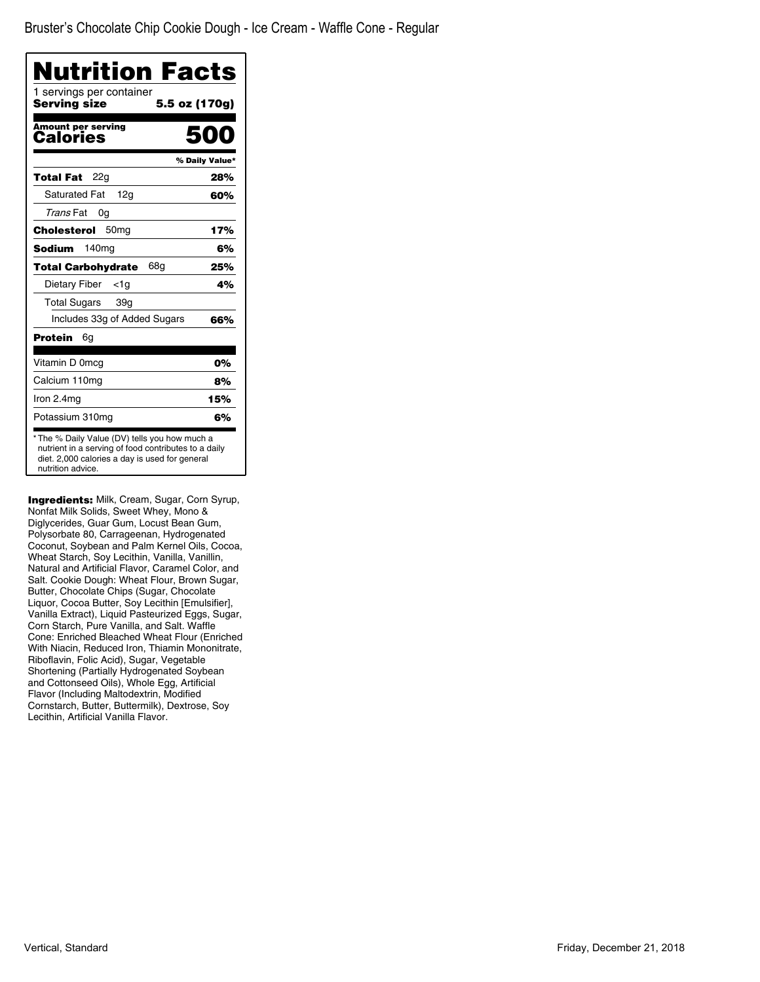| <b>Nutrition Facts</b>                   |                |
|------------------------------------------|----------------|
| 1 servings per container<br>Serving size | 5.5 oz (170g)  |
| Amount per serving<br>Calories           | 500            |
|                                          | % Daily Value* |
| 22g<br>Total Fat                         | 28%            |
| <b>Saturated Fat</b><br>12 <sub>q</sub>  | 60%            |
| Trans Fat<br>0g                          |                |
| 50 <sub>mg</sub><br>Cholesterol          | 17%            |
| Sodium<br>140 <sub>mg</sub>              | 6%             |
| 68a<br><b>Total Carbohydrate</b>         | 25%            |
| Dietary Fiber<br>$<$ 1g                  | 4%             |
| <b>Total Sugars</b><br>39g               |                |
| Includes 33g of Added Sugars             | 66%            |
| Protein<br>6g                            |                |
| Vitamin D 0mcg                           | 0%             |
| Calcium 110mg                            | 8%             |
| Iron 2.4mg                               | 15%            |
| Potassium 310mg                          | 6%             |

Ingredients: Milk, Cream, Sugar, Corn Syrup, Nonfat Milk Solids, Sweet Whey, Mono & Diglycerides, Guar Gum, Locust Bean Gum, Polysorbate 80, Carrageenan, Hydrogenated Coconut, Soybean and Palm Kernel Oils, Cocoa, Wheat Starch, Soy Lecithin, Vanilla, Vanillin, Natural and Artificial Flavor, Caramel Color, and Salt. Cookie Dough: Wheat Flour, Brown Sugar, Butter, Chocolate Chips (Sugar, Chocolate Liquor, Cocoa Butter, Soy Lecithin [Emulsifier], Vanilla Extract), Liquid Pasteurized Eggs, Sugar, Corn Starch, Pure Vanilla, and Salt. Waffle Cone: Enriched Bleached Wheat Flour (Enriched With Niacin, Reduced Iron, Thiamin Mononitrate, Riboflavin, Folic Acid), Sugar, Vegetable Shortening (Partially Hydrogenated Soybean and Cottonseed Oils), Whole Egg, Artificial Flavor (Including Maltodextrin, Modified Cornstarch, Butter, Buttermilk), Dextrose, Soy Lecithin, Artificial Vanilla Flavor.